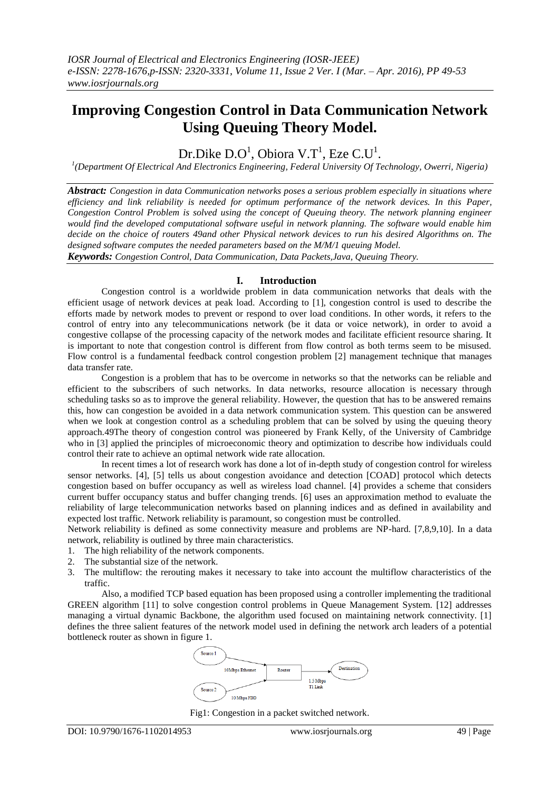# **Improving Congestion Control in Data Communication Network Using Queuing Theory Model.**

Dr.Dike  $D.O<sup>1</sup>$ , Obiora V.T<sup>1</sup>, Eze C.U<sup>1</sup>.

*1 (Department Of Electrical And Electronics Engineering, Federal University Of Technology, Owerri, Nigeria)*

*Abstract: Congestion in data Communication networks poses a serious problem especially in situations where efficiency and link reliability is needed for optimum performance of the network devices. In this Paper, Congestion Control Problem is solved using the concept of Queuing theory. The network planning engineer would find the developed computational software useful in network planning. The software would enable him decide on the choice of routers 49and other Physical network devices to run his desired Algorithms on. The designed software computes the needed parameters based on the M/M/1 queuing Model.*

*Keywords: Congestion Control, Data Communication, Data Packets,Java, Queuing Theory.*

## **I. Introduction**

Congestion control is a worldwide problem in data communication networks that deals with the efficient usage of network devices at peak load. According to [1], congestion control is used to describe the efforts made by network modes to prevent or respond to over load conditions. In other words, it refers to the control of entry into any telecommunications network (be it data or voice network), in order to avoid a congestive collapse of the processing capacity of the network modes and facilitate efficient resource sharing. It is important to note that congestion control is different from flow control as both terms seem to be misused. Flow control is a fundamental feedback control congestion problem [2] management technique that manages data transfer rate.

Congestion is a problem that has to be overcome in networks so that the networks can be reliable and efficient to the subscribers of such networks. In data networks, resource allocation is necessary through scheduling tasks so as to improve the general reliability. However, the question that has to be answered remains this, how can congestion be avoided in a data network communication system. This question can be answered when we look at congestion control as a scheduling problem that can be solved by using the queuing theory approach.49The theory of congestion control was pioneered by Frank Kelly, of the University of Cambridge who in [3] applied the principles of microeconomic theory and optimization to describe how individuals could control their rate to achieve an optimal network wide rate allocation.

In recent times a lot of research work has done a lot of in-depth study of congestion control for wireless sensor networks. [4], [5] tells us about congestion avoidance and detection [COAD] protocol which detects congestion based on buffer occupancy as well as wireless load channel. [4] provides a scheme that considers current buffer occupancy status and buffer changing trends. [6] uses an approximation method to evaluate the reliability of large telecommunication networks based on planning indices and as defined in availability and expected lost traffic. Network reliability is paramount, so congestion must be controlled.

Network reliability is defined as some connectivity measure and problems are NP-hard. [7,8,9,10]. In a data network, reliability is outlined by three main characteristics.

- 1. The high reliability of the network components.
- 2. The substantial size of the network.
- 3. The multiflow: the rerouting makes it necessary to take into account the multiflow characteristics of the traffic.

Also, a modified TCP based equation has been proposed using a controller implementing the traditional GREEN algorithm [11] to solve congestion control problems in Queue Management System. [12] addresses managing a virtual dynamic Backbone, the algorithm used focused on maintaining network connectivity. [1] defines the three salient features of the network model used in defining the network arch leaders of a potential bottleneck router as shown in figure 1.



Fig1: Congestion in a packet switched network.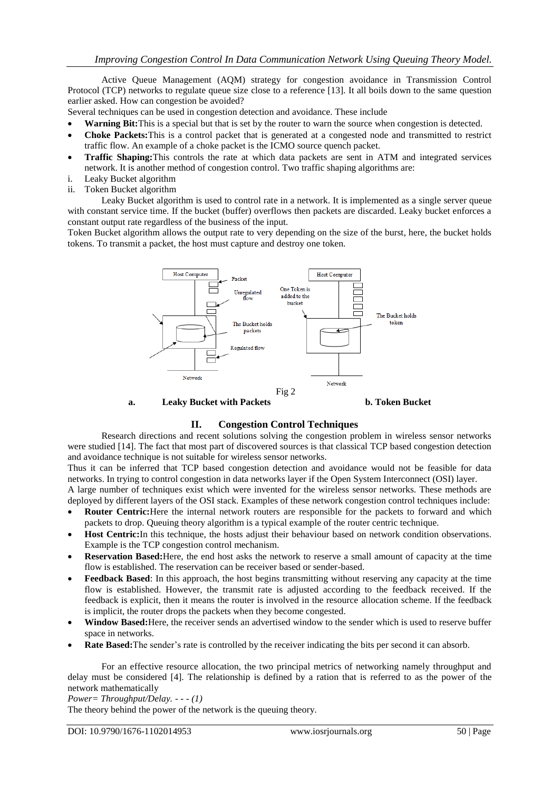Active Queue Management (AQM) strategy for congestion avoidance in Transmission Control Protocol (TCP) networks to regulate queue size close to a reference [13]. It all boils down to the same question earlier asked. How can congestion be avoided?

Several techniques can be used in congestion detection and avoidance. These include

- **Warning Bit:**This is a special but that is set by the router to warn the source when congestion is detected.
- **Choke Packets:**This is a control packet that is generated at a congested node and transmitted to restrict traffic flow. An example of a choke packet is the ICMO source quench packet.
- **Traffic Shaping:**This controls the rate at which data packets are sent in ATM and integrated services network. It is another method of congestion control. Two traffic shaping algorithms are:
- i. Leaky Bucket algorithm
- ii. Token Bucket algorithm

Leaky Bucket algorithm is used to control rate in a network. It is implemented as a single server queue with constant service time. If the bucket (buffer) overflows then packets are discarded. Leaky bucket enforces a constant output rate regardless of the business of the input.

Token Bucket algorithm allows the output rate to very depending on the size of the burst, here, the bucket holds tokens. To transmit a packet, the host must capture and destroy one token.



**a. Leaky Bucket with Packets b. Token Bucket**

## **II. Congestion Control Techniques**

Research directions and recent solutions solving the congestion problem in wireless sensor networks were studied [14]. The fact that most part of discovered sources is that classical TCP based congestion detection and avoidance technique is not suitable for wireless sensor networks.

Thus it can be inferred that TCP based congestion detection and avoidance would not be feasible for data networks. In trying to control congestion in data networks layer if the Open System Interconnect (OSI) layer.

A large number of techniques exist which were invented for the wireless sensor networks. These methods are deployed by different layers of the OSI stack. Examples of these network congestion control techniques include:

- **Router Centric:**Here the internal network routers are responsible for the packets to forward and which packets to drop. Queuing theory algorithm is a typical example of the router centric technique.
- **Host Centric:**In this technique, the hosts adjust their behaviour based on network condition observations. Example is the TCP congestion control mechanism.
- **Reservation Based:**Here, the end host asks the network to reserve a small amount of capacity at the time flow is established. The reservation can be receiver based or sender-based.
- **Feedback Based**: In this approach, the host begins transmitting without reserving any capacity at the time flow is established. However, the transmit rate is adjusted according to the feedback received. If the feedback is explicit, then it means the router is involved in the resource allocation scheme. If the feedback is implicit, the router drops the packets when they become congested.
- **Window Based:**Here, the receiver sends an advertised window to the sender which is used to reserve buffer space in networks.
- **Rate Based:**The sender's rate is controlled by the receiver indicating the bits per second it can absorb.

For an effective resource allocation, the two principal metrics of networking namely throughput and delay must be considered [4]. The relationship is defined by a ration that is referred to as the power of the network mathematically

*Power= Throughput/Delay. - - - (1)*

The theory behind the power of the network is the queuing theory.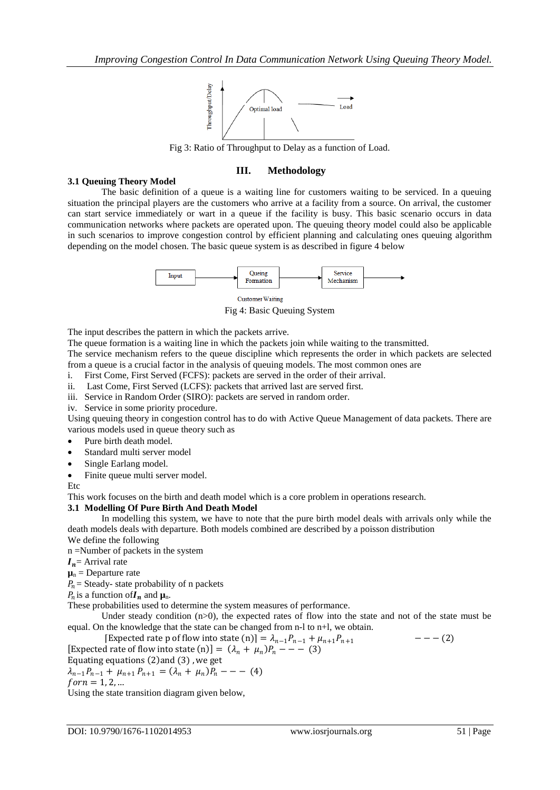

Fig 3: Ratio of Throughput to Delay as a function of Load.

# **III. Methodology**

# **3.1 Queuing Theory Model**

The basic definition of a queue is a waiting line for customers waiting to be serviced. In a queuing situation the principal players are the customers who arrive at a facility from a source. On arrival, the customer can start service immediately or wart in a queue if the facility is busy. This basic scenario occurs in data communication networks where packets are operated upon. The queuing theory model could also be applicable in such scenarios to improve congestion control by efficient planning and calculating ones queuing algorithm depending on the model chosen. The basic queue system is as described in figure 4 below



Fig 4: Basic Queuing System

The input describes the pattern in which the packets arrive.

The queue formation is a waiting line in which the packets join while waiting to the transmitted.

The service mechanism refers to the queue discipline which represents the order in which packets are selected from a queue is a crucial factor in the analysis of queuing models. The most common ones are

i. First Come, First Served (FCFS): packets are served in the order of their arrival.

ii. Last Come, First Served (LCFS): packets that arrived last are served first.

iii. Service in Random Order (SIRO): packets are served in random order.

iv. Service in some priority procedure.

Using queuing theory in congestion control has to do with Active Queue Management of data packets. There are various models used in queue theory such as

- Pure birth death model.
- Standard multi server model
- Single Earlang model.

• Finite queue multi server model.

Etc

This work focuses on the birth and death model which is a core problem in operations research.

## **3.1 Modelling Of Pure Birth And Death Model**

In modelling this system, we have to note that the pure birth model deals with arrivals only while the death models deals with departure. Both models combined are described by a poisson distribution

We define the following

n =Number of packets in the system

 $I_n$  = Arrival rate  $\mu_n$  = Departure rate

 $P_n$  = Steady- state probability of n packets

 $P_n$  is a function of  $I_n$  and  $\mu_n$ .

These probabilities used to determine the system measures of performance.

Under steady condition  $(n>0)$ , the expected rates of flow into the state and not of the state must be equal. On the knowledge that the state can be changed from n-l to n+l, we obtain.

[Expected rate p of flow into state (n)] =  $\lambda_{n-1}P_{n-1} + \mu_{n+1}P_{n+1}$  --- (2) [Expected rate of flow into state (n)] =  $(\lambda_n + \mu_n)P_n$  - - - (3) Equating equations  $(2)$  and  $(3)$ , we get

 $\lambda_{n-1}P_{n-1} + \mu_{n+1}P_{n+1} = (\lambda_n + \mu_n)P_n - - -$  (4)  $for n = 1, 2, ...$ 

Using the state transition diagram given below,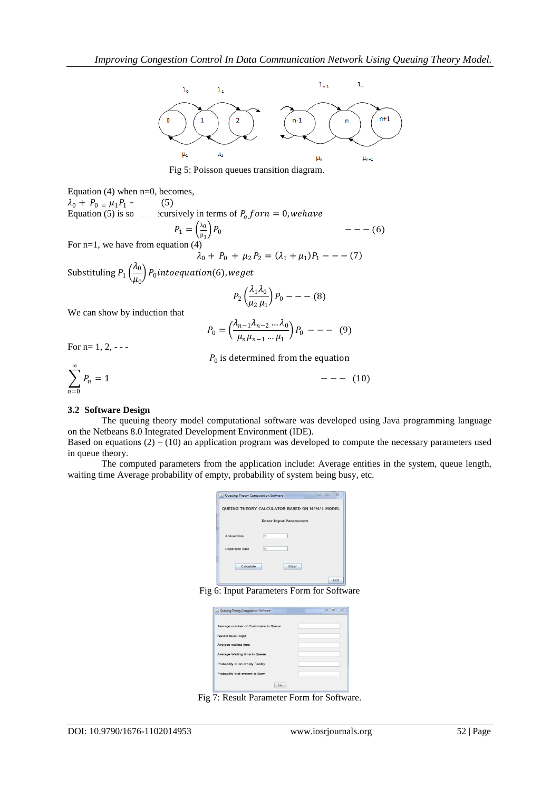

Fig 5: Poisson queues transition diagram.

Equation  $(4)$  when n=0, becomes,  $\lambda_0 + P_0 = \mu_1 P_1$  - (5) Equation (5) is solved recursively in terms of  $P_0$  for  $n = 0$ , we have  $P_1 = \left(\frac{\lambda_0}{\mu_1}\right)$  $\mu_1$  $- - - (6)$ For  $n=1$ , we have from equation  $(4)$  $- - (7)$ 

$$
\lambda_0 + P_0 + \mu_2 P_2 = (\lambda_1 + \mu_1)P_1 -
$$
  

$$
\left(\frac{\lambda_0}{\mu_1}\right) P_1
$$

Substituling  $P_1\left(\frac{\lambda_0}{\mu}\right)$  $\left(\frac{m_0}{\mu_0}\right)$   $P_0$  intoequation(6), weget  $\lambda_1\lambda_0$ 

$$
P_2\left(\frac{\lambda_1\lambda_0}{\mu_2\mu_1}\right)P_0---(8)
$$

We can show by induction that

$$
P_0 = \left(\frac{\lambda_{n-1}\lambda_{n-2}\dots\lambda_0}{\mu_n\mu_{n-1}\dots\mu_1}\right)P_0 \ - - - \ (9)
$$

For  $n=1, 2, -$  -

$$
P_0 \text{ is determined from the equation}
$$
\n
$$
\sum_{n=0}^{\infty} P_n = 1
$$
\n
$$
--- (10)
$$

### **3.2 Software Design**

The queuing theory model computational software was developed using Java programming language on the Netbeans 8.0 Integrated Development Environment (IDE).

Based on equations  $(2) - (10)$  an application program was developed to compute the necessary parameters used in queue theory.

The computed parameters from the application include: Average entities in the system, queue length, waiting time Average probability of empty, probability of system being busy, etc.

| OUEING THEORY CALCULATOR BASED ON M/M/1 MODEL |             |                               |  |
|-----------------------------------------------|-------------|-------------------------------|--|
|                                               |             | <b>Enter Input Parameters</b> |  |
| <b>Arrival Rate</b>                           | 15          |                               |  |
| <b>Departure Rate</b>                         | $6^{\circ}$ |                               |  |
| Calculate                                     |             | Clear                         |  |

Fig 6: Input Parameters Form for Software

| Average number of Customers in Queue |  |
|--------------------------------------|--|
| <b>Expected Queue Lenght</b>         |  |
| Average waiting time                 |  |
| Average Waiting time in Queue        |  |
| Probability of an empty Facility     |  |
| Probability that system is Busy      |  |

Fig 7: Result Parameter Form for Software.